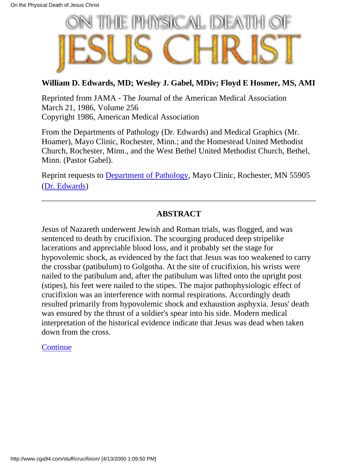

Reprinted from JAMA - The Journal of the American Medical Association March 21, 1986, Volume 256 Copyright 1986, American Medical Association

From the Departments of Pathology (Dr. Edwards) and Medical Graphics (Mr. Hoamer), Mayo Clinic, Rochester, Minn.; and the Homestead United Methodist Church, Rochester, Minn., and the West Bethel United Methodist Church, Bethel, Minn. (Pastor Gabel).

Reprint requests to [Department of Pathology](http://www.mayo.edu/pathlab/pathmain.htm), Mayo Clinic, Rochester, MN 55905 ([Dr. Edwards\)](http://www.mayo.edu/pathlab/staff_ap/wde.htm)

#### **ABSTRACT**

Jesus of Nazareth underwent Jewish and Roman trials, was flogged, and was sentenced to death by crucifixion. The scourging produced deep stripelike lacerations and appreciable blood loss, and it probably set the stage for hypovolemic shock, as evidenced by the fact that Jesus was too weakened to carry the crossbar (patibulum) to Golgotha. At the site of crucifixion, his wrists were nailed to the patibulum and, after the patibulum was lifted onto the upright post (stipes), his feet were nailed to the stipes. The major pathophysiologic effect of crucifixion was an interference with normal respirations. Accordingly death resulted primarily from hypovolemic shock and exhaustion asphyxia. Jesus' death was ensured by the thrust of a soldier's spear into his side. Modern medical interpretation of the historical evidence indicate that Jesus was dead when taken down from the cross.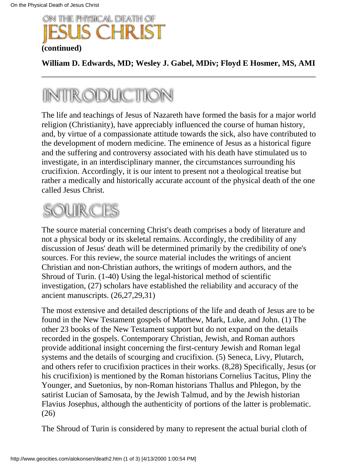<span id="page-1-0"></span>

# **INTRODUCTION**

The life and teachings of Jesus of Nazareth have formed the basis for a major world religion (Christianity), have appreciably influenced the course of human history, and, by virtue of a compassionate attitude towards the sick, also have contributed to the development of modern medicine. The eminence of Jesus as a historical figure and the suffering and controversy associated with his death have stimulated us to investigate, in an interdisciplinary manner, the circumstances surrounding his crucifixion. Accordingly, it is our intent to present not a theological treatise but rather a medically and historically accurate account of the physical death of the one called Jesus Christ.

# **SOURCES**

The source material concerning Christ's death comprises a body of literature and not a physical body or its skeletal remains. Accordingly, the credibility of any discussion of Jesus' death will be determined primarily by the credibility of one's sources. For this review, the source material includes the writings of ancient Christian and non-Christian authors, the writings of modern authors, and the Shroud of Turin. (1-40) Using the legal-historical method of scientific investigation, (27) scholars have established the reliability and accuracy of the ancient manuscripts. (26,27,29,31)

The most extensive and detailed descriptions of the life and death of Jesus are to be found in the New Testament gospels of Matthew, Mark, Luke, and John. (1) The other 23 books of the New Testament support but do not expand on the details recorded in the gospels. Contemporary Christian, Jewish, and Roman authors provide additional insight concerning the first-century Jewish and Roman legal systems and the details of scourging and crucifixion. (5) Seneca, Livy, Plutarch, and others refer to crucifixion practices in their works. (8,28) Specifically, Jesus (or his crucifixion) is mentioned by the Roman historians Cornelius Tacitus, Pliny the Younger, and Suetonius, by non-Roman historians Thallus and Phlegon, by the satirist Lucian of Samosata, by the Jewish Talmud, and by the Jewish historian Flavius Josephus, although the authenticity of portions of the latter is problematic. (26)

The Shroud of Turin is considered by many to represent the actual burial cloth of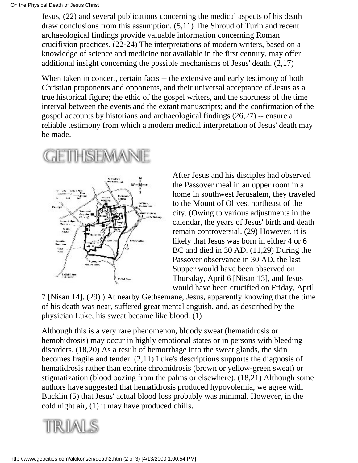Jesus, (22) and several publications concerning the medical aspects of his death draw conclusions from this assumption. (5,11) The Shroud of Turin and recent archaeological findings provide valuable information concerning Roman crucifixion practices. (22-24) The interpretations of modern writers, based on a knowledge of science and medicine not available in the first century, may offer additional insight concerning the possible mechanisms of Jesus' death. (2,17)

When taken in concert, certain facts -- the extensive and early testimony of both Christian proponents and opponents, and their universal acceptance of Jesus as a true historical figure; the ethic of the gospel writers, and the shortness of the time interval between the events and the extant manuscripts; and the confirmation of the gospel accounts by historians and archaeological findings (26,27) -- ensure a reliable testimony from which a modern medical interpretation of Jesus' death may be made.



After Jesus and his disciples had observed the Passover meal in an upper room in a home in southwest Jerusalem, they traveled to the Mount of Olives, northeast of the city. (Owing to various adjustments in the calendar, the years of Jesus' birth and death remain controversial. (29) However, it is likely that Jesus was born in either 4 or 6 BC and died in 30 AD. (11,29) During the Passover observance in 30 AD, the last Supper would have been observed on Thursday, April 6 [Nisan 13], and Jesus would have been crucified on Friday, April

7 [Nisan 14]. (29) ) At nearby Gethsemane, Jesus, apparently knowing that the time of his death was near, suffered great mental anguish, and, as described by the physician Luke, his sweat became like blood. (1)

Although this is a very rare phenomenon, bloody sweat (hematidrosis or hemohidrosis) may occur in highly emotional states or in persons with bleeding disorders. (18,20) As a result of hemorrhage into the sweat glands, the skin becomes fragile and tender. (2,11) Luke's descriptions supports the diagnosis of hematidrosis rather than eccrine chromidrosis (brown or yellow-green sweat) or stigmatization (blood oozing from the palms or elsewhere). (18,21) Although some authors have suggested that hematidrosis produced hypovolemia, we agree with Bucklin (5) that Jesus' actual blood loss probably was minimal. However, in the cold night air, (1) it may have produced chills.

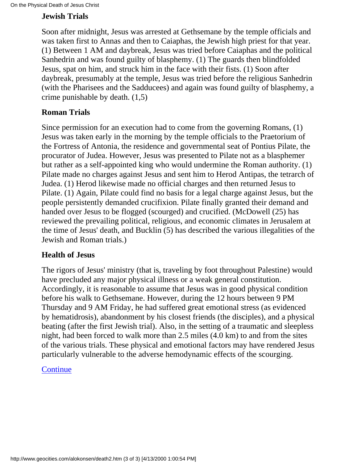#### **Jewish Trials**

Soon after midnight, Jesus was arrested at Gethsemane by the temple officials and was taken first to Annas and then to Caiaphas, the Jewish high priest for that year. (1) Between 1 AM and daybreak, Jesus was tried before Caiaphas and the political Sanhedrin and was found guilty of blasphemy. (1) The guards then blindfolded Jesus, spat on him, and struck him in the face with their fists. (1) Soon after daybreak, presumably at the temple, Jesus was tried before the religious Sanhedrin (with the Pharisees and the Sadducees) and again was found guilty of blasphemy, a crime punishable by death. (1,5)

# **Roman Trials**

Since permission for an execution had to come from the governing Romans, (1) Jesus was taken early in the morning by the temple officials to the Praetorium of the Fortress of Antonia, the residence and governmental seat of Pontius Pilate, the procurator of Judea. However, Jesus was presented to Pilate not as a blasphemer but rather as a self-appointed king who would undermine the Roman authority. (1) Pilate made no charges against Jesus and sent him to Herod Antipas, the tetrarch of Judea. (1) Herod likewise made no official charges and then returned Jesus to Pilate. (1) Again, Pilate could find no basis for a legal charge against Jesus, but the people persistently demanded crucifixion. Pilate finally granted their demand and handed over Jesus to be flogged (scourged) and crucified. (McDowell (25) has reviewed the prevailing political, religious, and economic climates in Jerusalem at the time of Jesus' death, and Bucklin (5) has described the various illegalities of the Jewish and Roman trials.)

# **Health of Jesus**

The rigors of Jesus' ministry (that is, traveling by foot throughout Palestine) would have precluded any major physical illness or a weak general constitution. Accordingly, it is reasonable to assume that Jesus was in good physical condition before his walk to Gethsemane. However, during the 12 hours between 9 PM Thursday and 9 AM Friday, he had suffered great emotional stress (as evidenced by hematidrosis), abandonment by his closest friends (the disciples), and a physical beating (after the first Jewish trial). Also, in the setting of a traumatic and sleepless night, had been forced to walk more than 2.5 miles (4.0 km) to and from the sites of the various trials. These physical and emotional factors may have rendered Jesus particularly vulnerable to the adverse hemodynamic effects of the scourging.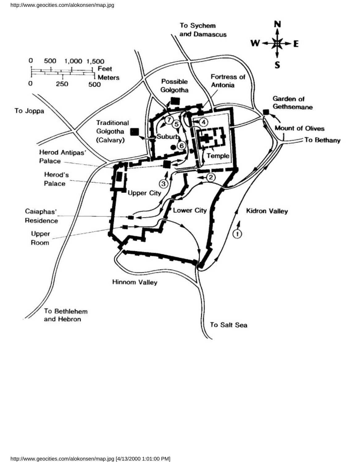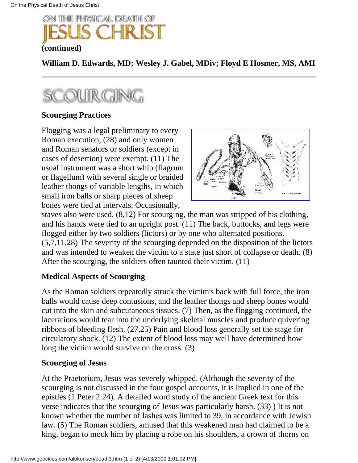<span id="page-5-0"></span>



# **Scourging Practices**

Flogging was a legal preliminary to every Roman execution, (28) and only women and Roman senators or soldiers (except in cases of desertion) were exempt. (11) The usual instrument was a short whip (flagrum or flagellum) with several single or braided leather thongs of variable lengths, in which small iron balls or sharp pieces of sheep bones were tied at intervals. Occasionally,



staves also were used. (8,12) For scourging, the man was stripped of his clothing, and his hands were tied to an upright post. (11) The back, buttocks, and legs were flogged either by two soldiers (lictors) or by one who alternated positions. (5,7,11,28) The severity of the scourging depended on the disposition of the lictors and was intended to weaken the victim to a state just short of collapse or death. (8) After the scourging, the soldiers often taunted their victim. (11)

# **Medical Aspects of Scourging**

As the Roman soldiers repeatedly struck the victim's back with full force, the iron balls would cause deep contusions, and the leather thongs and sheep bones would cut into the skin and subcutaneous tissues. (7) Then, as the flogging continued, the lacerations would tear into the underlying skeletal muscles and produce quivering ribbons of bleeding flesh. (27,25) Pain and blood loss generally set the stage for circulatory shock. (12) The extent of blood loss may well have determined how long the victim would survive on the cross. (3)

# **Scourging of Jesus**

At the Praetorium, Jesus was severely whipped. (Although the severity of the scourging is not discussed in the four gospel accounts, it is implied in one of the epistles (1 Peter 2:24). A detailed word study of the ancient Greek text for this verse indicates that the scourging of Jesus was particularly harsh. (33) ) It is not known whether the number of lashes was limited to 39, in accordance with Jewish law. (5) The Roman soldiers, amused that this weakened man had claimed to be a king, began to mock him by placing a robe on his shoulders, a crown of thorns on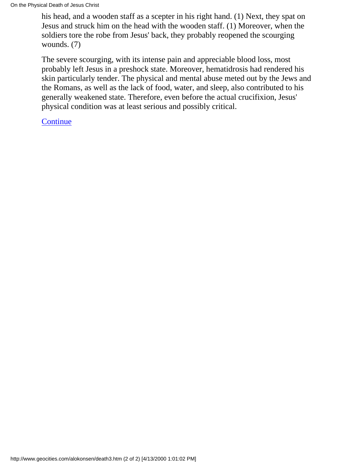his head, and a wooden staff as a scepter in his right hand. (1) Next, they spat on Jesus and struck him on the head with the wooden staff. (1) Moreover, when the soldiers tore the robe from Jesus' back, they probably reopened the scourging wounds. (7)

The severe scourging, with its intense pain and appreciable blood loss, most probably left Jesus in a preshock state. Moreover, hematidrosis had rendered his skin particularly tender. The physical and mental abuse meted out by the Jews and the Romans, as well as the lack of food, water, and sleep, also contributed to his generally weakened state. Therefore, even before the actual crucifixion, Jesus' physical condition was at least serious and possibly critical.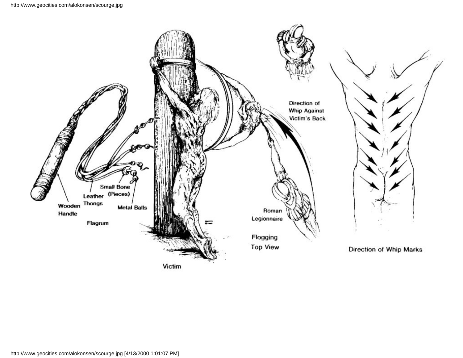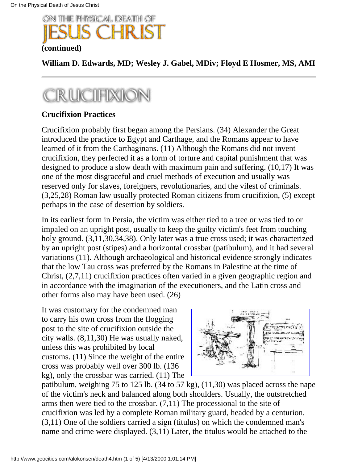<span id="page-8-0"></span>



# **Crucifixion Practices**

Crucifixion probably first began among the Persians. (34) Alexander the Great introduced the practice to Egypt and Carthage, and the Romans appear to have learned of it from the Carthaginans. (11) Although the Romans did not invent crucifixion, they perfected it as a form of torture and capital punishment that was designed to produce a slow death with maximum pain and suffering. (10,17) It was one of the most disgraceful and cruel methods of execution and usually was reserved only for slaves, foreigners, revolutionaries, and the vilest of criminals. (3,25,28) Roman law usually protected Roman citizens from crucifixion, (5) except perhaps in the case of desertion by soldiers.

In its earliest form in Persia, the victim was either tied to a tree or was tied to or impaled on an upright post, usually to keep the guilty victim's feet from touching holy ground. (3,11,30,34,38). Only later was a true cross used; it was characterized by an upright post (stipes) and a horizontal crossbar (patibulum), and it had several variations (11). Although archaeological and historical evidence strongly indicates that the low Tau cross was preferred by the Romans in Palestine at the time of Christ, (2,7,11) crucifixion practices often varied in a given geographic region and in accordance with the imagination of the executioners, and the Latin cross and other forms also may have been used. (26)

It was customary for the condemned man to carry his own cross from the flogging post to the site of crucifixion outside the city walls. (8,11,30) He was usually naked, unless this was prohibited by local customs. (11) Since the weight of the entire cross was probably well over 300 lb. (136 kg), only the crossbar was carried. (11) The



patibulum, weighing 75 to 125 lb. (34 to 57 kg), (11,30) was placed across the nape of the victim's neck and balanced along both shoulders. Usually, the outstretched arms then were tied to the crossbar. (7,11) The processional to the site of crucifixion was led by a complete Roman military guard, headed by a centurion. (3,11) One of the soldiers carried a sign (titulus) on which the condemned man's name and crime were displayed. (3,11) Later, the titulus would be attached to the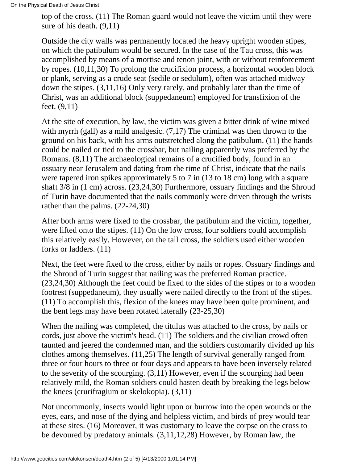top of the cross. (11) The Roman guard would not leave the victim until they were sure of his death. (9,11)

Outside the city walls was permanently located the heavy upright wooden stipes, on which the patibulum would be secured. In the case of the Tau cross, this was accomplished by means of a mortise and tenon joint, with or without reinforcement by ropes. (10,11,30) To prolong the crucifixion process, a horizontal wooden block or plank, serving as a crude seat (sedile or sedulum), often was attached midway down the stipes. (3,11,16) Only very rarely, and probably later than the time of Christ, was an additional block (suppedaneum) employed for transfixion of the feet. (9,11)

At the site of execution, by law, the victim was given a bitter drink of wine mixed with myrrh (gall) as a mild analgesic. (7,17) The criminal was then thrown to the ground on his back, with his arms outstretched along the patibulum. (11) the hands could be nailed or tied to the crossbar, but nailing apparently was preferred by the Romans. (8,11) The archaeological remains of a crucified body, found in an ossuary near Jerusalem and dating from the time of Christ, indicate that the nails were tapered iron spikes approximately 5 to 7 in (13 to 18 cm) long with a square shaft 3/8 in (1 cm) across. (23,24,30) Furthermore, ossuary findings and the Shroud of Turin have documented that the nails commonly were driven through the wrists rather than the palms. (22-24,30)

After both arms were fixed to the crossbar, the patibulum and the victim, together, were lifted onto the stipes. (11) On the low cross, four soldiers could accomplish this relatively easily. However, on the tall cross, the soldiers used either wooden forks or ladders. (11)

Next, the feet were fixed to the cross, either by nails or ropes. Ossuary findings and the Shroud of Turin suggest that nailing was the preferred Roman practice. (23,24,30) Although the feet could be fixed to the sides of the stipes or to a wooden footrest (suppedaneum), they usually were nailed directly to the front of the stipes. (11) To accomplish this, flexion of the knees may have been quite prominent, and the bent legs may have been rotated laterally (23-25,30)

When the nailing was completed, the titulus was attached to the cross, by nails or cords, just above the victim's head. (11) The soldiers and the civilian crowd often taunted and jeered the condemned man, and the soldiers customarily divided up his clothes among themselves. (11,25) The length of survival generally ranged from three or four hours to three or four days and appears to have been inversely related to the severity of the scourging. (3,11) However, even if the scourging had been relatively mild, the Roman soldiers could hasten death by breaking the legs below the knees (crurifragium or skelokopia). (3,11)

Not uncommonly, insects would light upon or burrow into the open wounds or the eyes, ears, and nose of the dying and helpless victim, and birds of prey would tear at these sites. (16) Moreover, it was customary to leave the corpse on the cross to be devoured by predatory animals. (3,11,12,28) However, by Roman law, the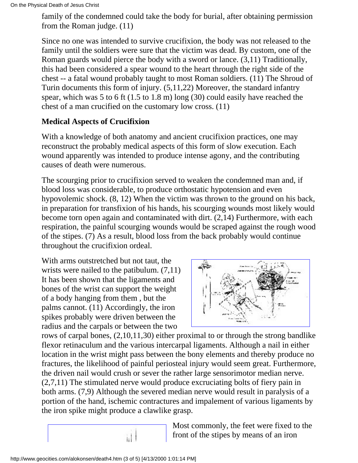family of the condemned could take the body for burial, after obtaining permission from the Roman judge. (11)

Since no one was intended to survive crucifixion, the body was not released to the family until the soldiers were sure that the victim was dead. By custom, one of the Roman guards would pierce the body with a sword or lance. (3,11) Traditionally, this had been considered a spear wound to the heart through the right side of the chest -- a fatal wound probably taught to most Roman soldiers. (11) The Shroud of Turin documents this form of injury. (5,11,22) Moreover, the standard infantry spear, which was 5 to 6 ft (1.5 to 1.8 m) long (30) could easily have reached the chest of a man crucified on the customary low cross. (11)

# **Medical Aspects of Crucifixion**

With a knowledge of both anatomy and ancient crucifixion practices, one may reconstruct the probably medical aspects of this form of slow execution. Each wound apparently was intended to produce intense agony, and the contributing causes of death were numerous.

The scourging prior to crucifixion served to weaken the condemned man and, if blood loss was considerable, to produce orthostatic hypotension and even hypovolemic shock. (8, 12) When the victim was thrown to the ground on his back, in preparation for transfixion of his hands, his scourging wounds most likely would become torn open again and contaminated with dirt. (2,14) Furthermore, with each respiration, the painful scourging wounds would be scraped against the rough wood of the stipes. (7) As a result, blood loss from the back probably would continue throughout the crucifixion ordeal.

With arms outstretched but not taut, the wrists were nailed to the patibulum.  $(7,11)$ It has been shown that the ligaments and bones of the wrist can support the weight of a body hanging from them , but the palms cannot. (11) Accordingly, the iron spikes probably were driven between the radius and the carpals or between the two



rows of carpal bones, (2,10,11,30) either proximal to or through the strong bandlike flexor retinaculum and the various intercarpal ligaments. Although a nail in either location in the wrist might pass between the bony elements and thereby produce no fractures, the likelihood of painful periosteal injury would seem great. Furthermore, the driven nail would crush or sever the rather large sensorimotor median nerve. (2,7,11) The stimulated nerve would produce excruciating bolts of fiery pain in both arms. (7,9) Although the severed median nerve would result in paralysis of a portion of the hand, ischemic contractures and impalement of various ligaments by the iron spike might produce a clawlike grasp.

id.

Most commonly, the feet were fixed to the front of the stipes by means of an iron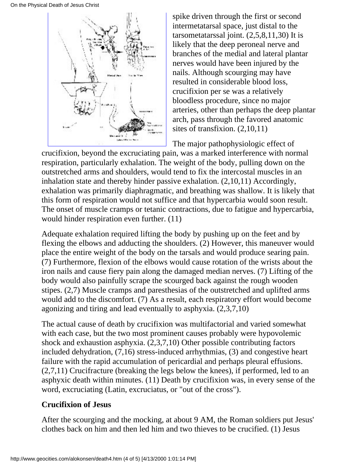

spike driven through the first or second intermetatarsal space, just distal to the tarsometatarssal joint. (2,5,8,11,30) It is likely that the deep peroneal nerve and branches of the medial and lateral plantar nerves would have been injured by the nails. Although scourging may have resulted in considerable blood loss, crucifixion per se was a relatively bloodless procedure, since no major arteries, other than perhaps the deep plantar arch, pass through the favored anatomic sites of transfixion. (2,10,11)

The major pathophysiologic effect of

crucifixion, beyond the excruciating pain, was a marked interference with normal respiration, particularly exhalation. The weight of the body, pulling down on the outstretched arms and shoulders, would tend to fix the intercostal muscles in an inhalation state and thereby hinder passive exhalation. (2,10,11) Accordingly, exhalation was primarily diaphragmatic, and breathing was shallow. It is likely that this form of respiration would not suffice and that hypercarbia would soon result. The onset of muscle cramps or tetanic contractions, due to fatigue and hypercarbia, would hinder respiration even further. (11)

Adequate exhalation required lifting the body by pushing up on the feet and by flexing the elbows and adducting the shoulders. (2) However, this maneuver would place the entire weight of the body on the tarsals and would produce searing pain. (7) Furthermore, flexion of the elbows would cause rotation of the wrists about the iron nails and cause fiery pain along the damaged median nerves. (7) Lifting of the body would also painfully scrape the scourged back against the rough wooden stipes. (2,7) Muscle cramps and paresthesias of the outstretched and uplifted arms would add to the discomfort. (7) As a result, each respiratory effort would become agonizing and tiring and lead eventually to asphyxia. (2,3,7,10)

The actual cause of death by crucifixion was multifactorial and varied somewhat with each case, but the two most prominent causes probably were hypovolemic shock and exhaustion asphyxia. (2,3,7,10) Other possible contributing factors included dehydration, (7,16) stress-induced arrhythmias, (3) and congestive heart failure with the rapid accumulation of pericardial and perhaps pleural effusions. (2,7,11) Crucifracture (breaking the legs below the knees), if performed, led to an asphyxic death within minutes. (11) Death by crucifixion was, in every sense of the word, excruciating (Latin, excruciatus, or "out of the cross").

# **Crucifixion of Jesus**

After the scourging and the mocking, at about 9 AM, the Roman soldiers put Jesus' clothes back on him and then led him and two thieves to be crucified. (1) Jesus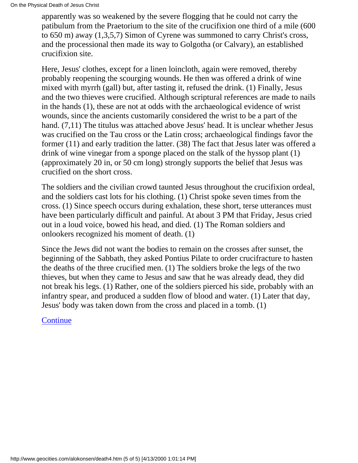apparently was so weakened by the severe flogging that he could not carry the patibulum from the Praetorium to the site of the crucifixion one third of a mile (600 to 650 m) away (1,3,5,7) Simon of Cyrene was summoned to carry Christ's cross, and the processional then made its way to Golgotha (or Calvary), an established crucifixion site.

Here, Jesus' clothes, except for a linen loincloth, again were removed, thereby probably reopening the scourging wounds. He then was offered a drink of wine mixed with myrrh (gall) but, after tasting it, refused the drink. (1) Finally, Jesus and the two thieves were crucified. Although scriptural references are made to nails in the hands (1), these are not at odds with the archaeological evidence of wrist wounds, since the ancients customarily considered the wrist to be a part of the hand. (7,11) The titulus was attached above Jesus' head. It is unclear whether Jesus was crucified on the Tau cross or the Latin cross; archaeological findings favor the former (11) and early tradition the latter. (38) The fact that Jesus later was offered a drink of wine vinegar from a sponge placed on the stalk of the hyssop plant (1) (approximately 20 in, or 50 cm long) strongly supports the belief that Jesus was crucified on the short cross.

The soldiers and the civilian crowd taunted Jesus throughout the crucifixion ordeal, and the soldiers cast lots for his clothing. (1) Christ spoke seven times from the cross. (1) Since speech occurs during exhalation, these short, terse utterances must have been particularly difficult and painful. At about 3 PM that Friday, Jesus cried out in a loud voice, bowed his head, and died. (1) The Roman soldiers and onlookers recognized his moment of death. (1)

Since the Jews did not want the bodies to remain on the crosses after sunset, the beginning of the Sabbath, they asked Pontius Pilate to order crucifracture to hasten the deaths of the three crucified men. (1) The soldiers broke the legs of the two thieves, but when they came to Jesus and saw that he was already dead, they did not break his legs. (1) Rather, one of the soldiers pierced his side, probably with an infantry spear, and produced a sudden flow of blood and water. (1) Later that day, Jesus' body was taken down from the cross and placed in a tomb. (1)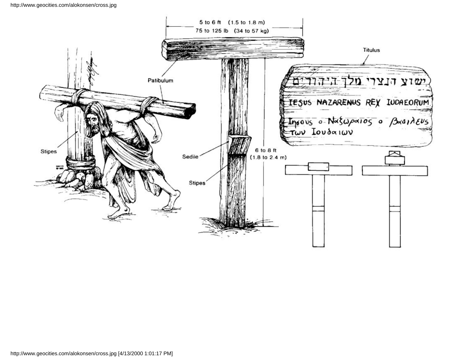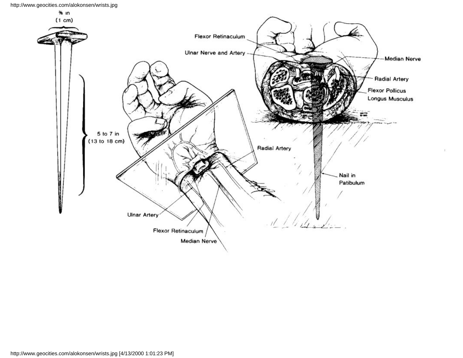http://www.geocities.com/alokonsen/wrists.jpg

![](_page_14_Figure_1.jpeg)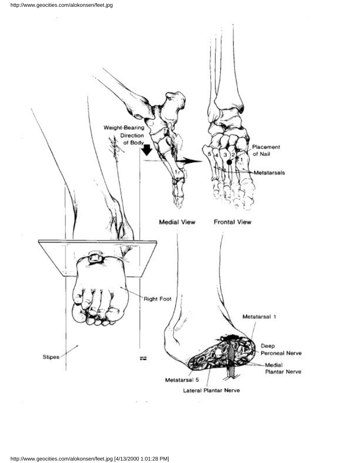<span id="page-15-0"></span>![](_page_15_Figure_1.jpeg)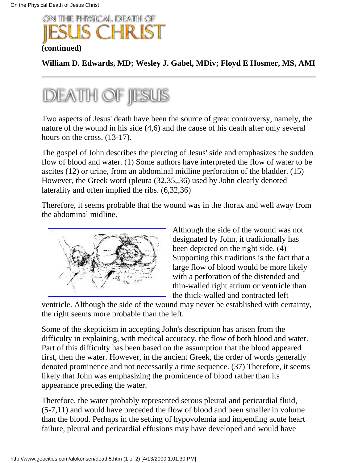<span id="page-16-0"></span>![](_page_16_Picture_1.jpeg)

![](_page_16_Picture_3.jpeg)

Two aspects of Jesus' death have been the source of great controversy, namely, the nature of the wound in his side (4,6) and the cause of his death after only several hours on the cross.  $(13-17)$ .

The gospel of John describes the piercing of Jesus' side and emphasizes the sudden flow of blood and water. (1) Some authors have interpreted the flow of water to be ascites (12) or urine, from an abdominal midline perforation of the bladder. (15) However, the Greek word (pleura (32,35,,36) used by John clearly denoted laterality and often implied the ribs. (6,32,36)

Therefore, it seems probable that the wound was in the thorax and well away from the abdominal midline.

![](_page_16_Picture_7.jpeg)

Although the side of the wound was not designated by John, it traditionally has been depicted on the right side. (4) Supporting this traditions is the fact that a large flow of blood would be more likely with a perforation of the distended and thin-walled right atrium or ventricle than the thick-walled and contracted left

ventricle. Although the side of the wound may never be established with certainty, the right seems more probable than the left.

Some of the skepticism in accepting John's description has arisen from the difficulty in explaining, with medical accuracy, the flow of both blood and water. Part of this difficulty has been based on the assumption that the blood appeared first, then the water. However, in the ancient Greek, the order of words generally denoted prominence and not necessarily a time sequence. (37) Therefore, it seems likely that John was emphasizing the prominence of blood rather than its appearance preceding the water.

Therefore, the water probably represented serous pleural and pericardial fluid, (5-7,11) and would have preceded the flow of blood and been smaller in volume than the blood. Perhaps in the setting of hypovolemia and impending acute heart failure, pleural and pericardial effusions may have developed and would have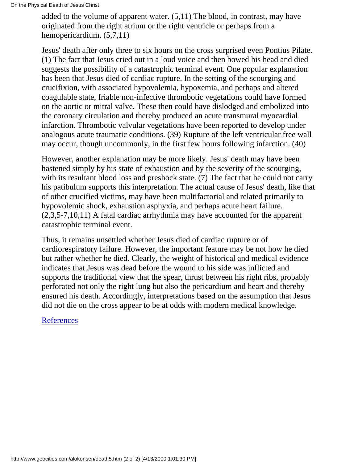added to the volume of apparent water. (5,11) The blood, in contrast, may have originated from the right atrium or the right ventricle or perhaps from a hemopericardium. (5,7,11)

Jesus' death after only three to six hours on the cross surprised even Pontius Pilate. (1) The fact that Jesus cried out in a loud voice and then bowed his head and died suggests the possibility of a catastrophic terminal event. One popular explanation has been that Jesus died of cardiac rupture. In the setting of the scourging and crucifixion, with associated hypovolemia, hypoxemia, and perhaps and altered coagulable state, friable non-infective thrombotic vegetations could have formed on the aortic or mitral valve. These then could have dislodged and embolized into the coronary circulation and thereby produced an acute transmural myocardial infarction. Thrombotic valvular vegetations have been reported to develop under analogous acute traumatic conditions. (39) Rupture of the left ventricular free wall may occur, though uncommonly, in the first few hours following infarction. (40)

However, another explanation may be more likely. Jesus' death may have been hastened simply by his state of exhaustion and by the severity of the scourging, with its resultant blood loss and preshock state. (7) The fact that he could not carry his patibulum supports this interpretation. The actual cause of Jesus' death, like that of other crucified victims, may have been multifactorial and related primarily to hypovolemic shock, exhaustion asphyxia, and perhaps acute heart failure. (2,3,5-7,10,11) A fatal cardiac arrhythmia may have accounted for the apparent catastrophic terminal event.

Thus, it remains unsettled whether Jesus died of cardiac rupture or of cardiorespiratory failure. However, the important feature may be not how he died but rather whether he died. Clearly, the weight of historical and medical evidence indicates that Jesus was dead before the wound to his side was inflicted and supports the traditional view that the spear, thrust between his right ribs, probably perforated not only the right lung but also the pericardium and heart and thereby ensured his death. Accordingly, interpretations based on the assumption that Jesus did not die on the cross appear to be at odds with modern medical knowledge.

#### **[References](#page-19-0)**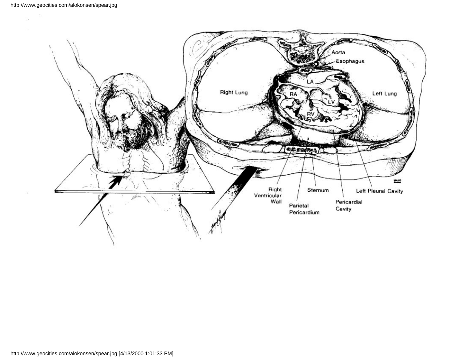![](_page_18_Figure_1.jpeg)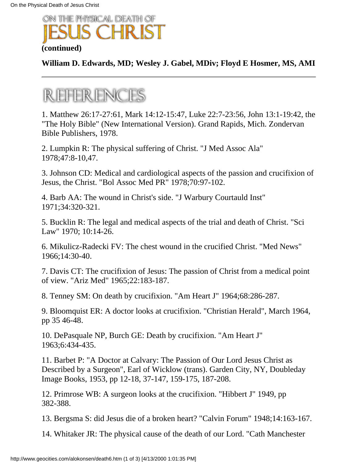<span id="page-19-0"></span>![](_page_19_Picture_1.jpeg)

![](_page_19_Picture_3.jpeg)

1. Matthew 26:17-27:61, Mark 14:12-15:47, Luke 22:7-23:56, John 13:1-19:42, the "The Holy Bible" (New International Version). Grand Rapids, Mich. Zondervan Bible Publishers, 1978.

2. Lumpkin R: The physical suffering of Christ. "J Med Assoc Ala" 1978;47:8-10,47.

3. Johnson CD: Medical and cardiological aspects of the passion and crucifixion of Jesus, the Christ. "Bol Assoc Med PR" 1978;70:97-102.

4. Barb AA: The wound in Christ's side. "J Warbury Courtauld Inst" 1971;34:320-321.

5. Bucklin R: The legal and medical aspects of the trial and death of Christ. "Sci Law" 1970; 10:14-26.

6. Mikulicz-Radecki FV: The chest wound in the crucified Christ. "Med News" 1966;14:30-40.

7. Davis CT: The crucifixion of Jesus: The passion of Christ from a medical point of view. "Ariz Med" 1965;22:183-187.

8. Tenney SM: On death by crucifixion. "Am Heart J" 1964;68:286-287.

9. Bloomquist ER: A doctor looks at crucifixion. "Christian Herald", March 1964, pp 35 46-48.

10. DePasquale NP, Burch GE: Death by crucifixion. "Am Heart J" 1963;6:434-435.

11. Barbet P: "A Doctor at Calvary: The Passion of Our Lord Jesus Christ as Described by a Surgeon", Earl of Wicklow (trans). Garden City, NY, Doubleday Image Books, 1953, pp 12-18, 37-147, 159-175, 187-208.

12. Primrose WB: A surgeon looks at the crucifixion. "Hibbert J" 1949, pp 382-388.

13. Bergsma S: did Jesus die of a broken heart? "Calvin Forum" 1948;14:163-167.

14. Whitaker JR: The physical cause of the death of our Lord. "Cath Manchester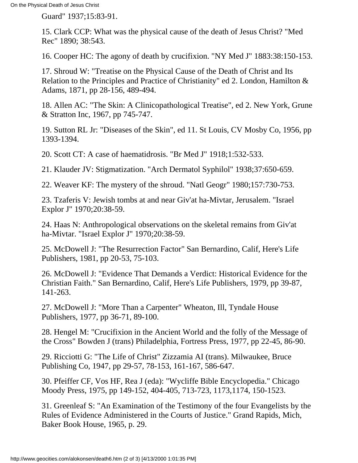Guard" 1937;15:83-91.

15. Clark CCP: What was the physical cause of the death of Jesus Christ? "Med Rec" 1890; 38:543.

16. Cooper HC: The agony of death by crucifixion. "NY Med J" 1883:38:150-153.

17. Shroud W: "Treatise on the Physical Cause of the Death of Christ and Its Relation to the Principles and Practice of Christianity" ed 2. London, Hamilton & Adams, 1871, pp 28-156, 489-494.

18. Allen AC: "The Skin: A Clinicopathological Treatise", ed 2. New York, Grune & Stratton Inc, 1967, pp 745-747.

19. Sutton RL Jr: "Diseases of the Skin", ed 11. St Louis, CV Mosby Co, 1956, pp 1393-1394.

20. Scott CT: A case of haematidrosis. "Br Med J" 1918;1:532-533.

21. Klauder JV: Stigmatization. "Arch Dermatol Syphilol" 1938;37:650-659.

22. Weaver KF: The mystery of the shroud. "Natl Geogr" 1980;157:730-753.

23. Tzaferis V: Jewish tombs at and near Giv'at ha-Mivtar, Jerusalem. "Israel Explor J" 1970;20:38-59.

24. Haas N: Anthropological observations on the skeletal remains from Giv'at ha-Mivtar. "Israel Explor J" 1970;20:38-59.

25. McDowell J: "The Resurrection Factor" San Bernardino, Calif, Here's Life Publishers, 1981, pp 20-53, 75-103.

26. McDowell J: "Evidence That Demands a Verdict: Historical Evidence for the Christian Faith." San Bernardino, Calif, Here's Life Publishers, 1979, pp 39-87, 141-263.

27. McDowell J: "More Than a Carpenter" Wheaton, Ill, Tyndale House Publishers, 1977, pp 36-71, 89-100.

28. Hengel M: "Crucifixion in the Ancient World and the folly of the Message of the Cross" Bowden J (trans) Philadelphia, Fortress Press, 1977, pp 22-45, 86-90.

29. Ricciotti G: "The Life of Christ" Zizzamia AI (trans). Milwaukee, Bruce Publishing Co, 1947, pp 29-57, 78-153, 161-167, 586-647.

30. Pfeiffer CF, Vos HF, Rea J (eda): "Wycliffe Bible Encyclopedia." Chicago Moody Press, 1975, pp 149-152, 404-405, 713-723, 1173,1174, 150-1523.

31. Greenleaf S: "An Examination of the Testimony of the four Evangelists by the Rules of Evidence Administered in the Courts of Justice." Grand Rapids, Mich, Baker Book House, 1965, p. 29.